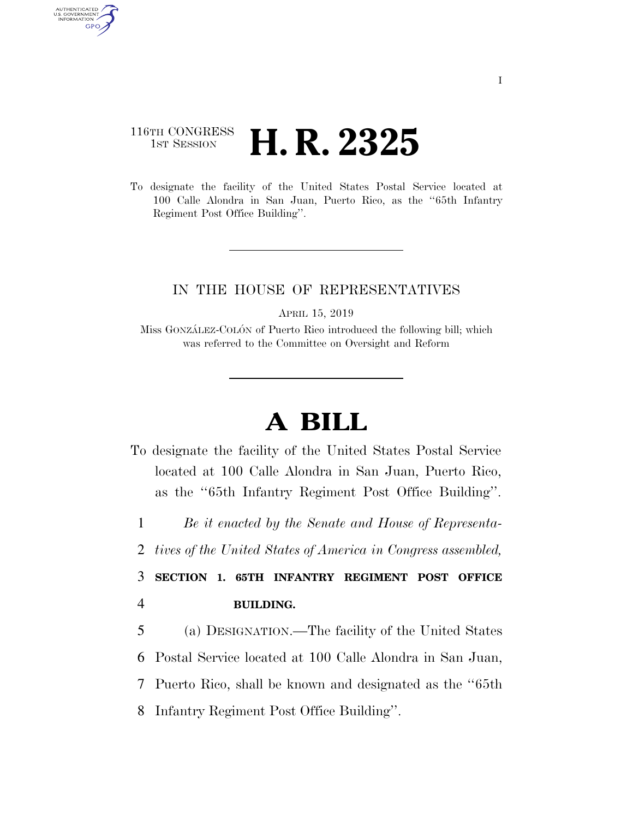## 116TH CONGRESS <sup>TH CONGRESS</sup> **H. R. 2325**

AUTHENTICATED U.S. GOVERNMENT GPO

> To designate the facility of the United States Postal Service located at 100 Calle Alondra in San Juan, Puerto Rico, as the ''65th Infantry Regiment Post Office Building''.

## IN THE HOUSE OF REPRESENTATIVES

APRIL 15, 2019

Miss GONZÁLEZ-COLÓN of Puerto Rico introduced the following bill; which was referred to the Committee on Oversight and Reform

## **A BILL**

To designate the facility of the United States Postal Service located at 100 Calle Alondra in San Juan, Puerto Rico, as the ''65th Infantry Regiment Post Office Building''.

1 *Be it enacted by the Senate and House of Representa-*

2 *tives of the United States of America in Congress assembled,* 

3 **SECTION 1. 65TH INFANTRY REGIMENT POST OFFICE**  4 **BUILDING.** 

 (a) DESIGNATION.—The facility of the United States Postal Service located at 100 Calle Alondra in San Juan, Puerto Rico, shall be known and designated as the ''65th Infantry Regiment Post Office Building''.